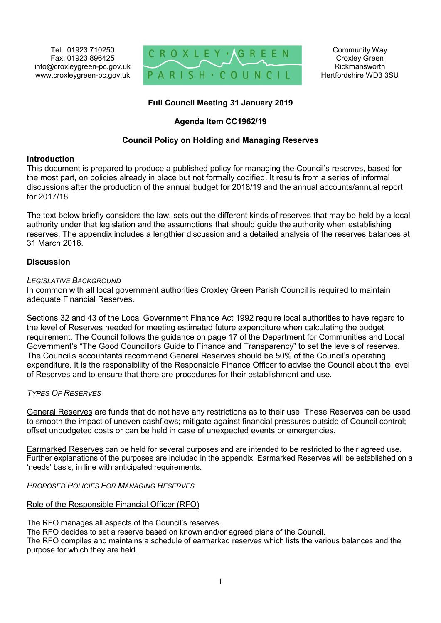Tel: 01923 710250 Fax: 01923 896425 info@croxleygreen-pc.gov.uk www.croxleygreen-pc.gov.uk



## **Full Council Meeting 31 January 2019**

## **Agenda Item CC1962/19**

## **Council Policy on Holding and Managing Reserves**

## **Introduction**

This document is prepared to produce a published policy for managing the Council's reserves, based for the most part, on policies already in place but not formally codified. It results from a series of informal discussions after the production of the annual budget for 2018/19 and the annual accounts/annual report for 2017/18.

The text below briefly considers the law, sets out the different kinds of reserves that may be held by a local authority under that legislation and the assumptions that should guide the authority when establishing reserves. The appendix includes a lengthier discussion and a detailed analysis of the reserves balances at 31 March 2018.

### **Discussion**

### *LEGISLATIVE BACKGROUND*

In common with all local government authorities Croxley Green Parish Council is required to maintain adequate Financial Reserves.

Sections 32 and 43 of the Local Government Finance Act 1992 require local authorities to have regard to the level of Reserves needed for meeting estimated future expenditure when calculating the budget requirement. The Council follows the guidance on page 17 of the Department for Communities and Local Government's "The Good Councillors Guide to Finance and Transparency" to set the levels of reserves. The Council's accountants recommend General Reserves should be 50% of the Council's operating expenditure. It is the responsibility of the Responsible Finance Officer to advise the Council about the level of Reserves and to ensure that there are procedures for their establishment and use.

## *TYPES OF RESERVES*

General Reserves are funds that do not have any restrictions as to their use. These Reserves can be used to smooth the impact of uneven cashflows; mitigate against financial pressures outside of Council control; offset unbudgeted costs or can be held in case of unexpected events or emergencies.

Earmarked Reserves can be held for several purposes and are intended to be restricted to their agreed use. Further explanations of the purposes are included in the appendix. Earmarked Reserves will be established on a 'needs' basis, in line with anticipated requirements.

## *PROPOSED POLICIES FOR MANAGING RESERVES*

## Role of the Responsible Financial Officer (RFO)

The RFO manages all aspects of the Council's reserves.

The RFO decides to set a reserve based on known and/or agreed plans of the Council.

The RFO compiles and maintains a schedule of earmarked reserves which lists the various balances and the purpose for which they are held.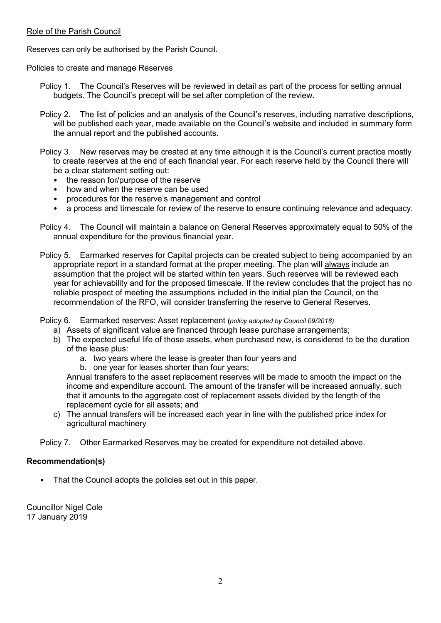### Role of the Parish Council

Reserves can only be authorised by the Parish Council.

Policies to create and manage Reserves

- Policy 1. The Council's Reserves will be reviewed in detail as part of the process for setting annual budgets. The Council's precept will be set after completion of the review.
- Policy 2. The list of policies and an analysis of the Council's reserves, including narrative descriptions, will be published each year, made available on the Council's website and included in summary form the annual report and the published accounts.
- Policy 3. New reserves may be created at any time although it is the Council's current practice mostly to create reserves at the end of each financial year. For each reserve held by the Council there will be a clear statement setting out:
	- the reason for/purpose of the reserve
	- how and when the reserve can be used
	- procedures for the reserve's management and control
	- a process and timescale for review of the reserve to ensure continuing relevance and adequacy.
- Policy 4. The Council will maintain a balance on General Reserves approximately equal to 50% of the annual expenditure for the previous financial year.
- Policy 5. Earmarked reserves for Capital projects can be created subject to being accompanied by an appropriate report in a standard format at the proper meeting. The plan will always include an assumption that the project will be started within ten years. Such reserves will be reviewed each year for achievability and for the proposed timescale. If the review concludes that the project has no reliable prospect of meeting the assumptions included in the initial plan the Council, on the recommendation of the RFO, will consider transferring the reserve to General Reserves.

Policy 6. Earmarked reserves: Asset replacement **(***policy adopted by Council 09/2018)*

- a) Assets of significant value are financed through lease purchase arrangements;
- b) The expected useful life of those assets, when purchased new, is considered to be the duration of the lease plus:
	- a. two years where the lease is greater than four years and
	- b. one year for leases shorter than four years;

Annual transfers to the asset replacement reserves will be made to smooth the impact on the income and expenditure account. The amount of the transfer will be increased annually, such that it amounts to the aggregate cost of replacement assets divided by the length of the replacement cycle for all assets; and

c) The annual transfers will be increased each year in line with the published price index for agricultural machinery

Policy 7. Other Earmarked Reserves may be created for expenditure not detailed above.

## **Recommendation(s)**

That the Council adopts the policies set out in this paper.

Councillor Nigel Cole 17 January 2019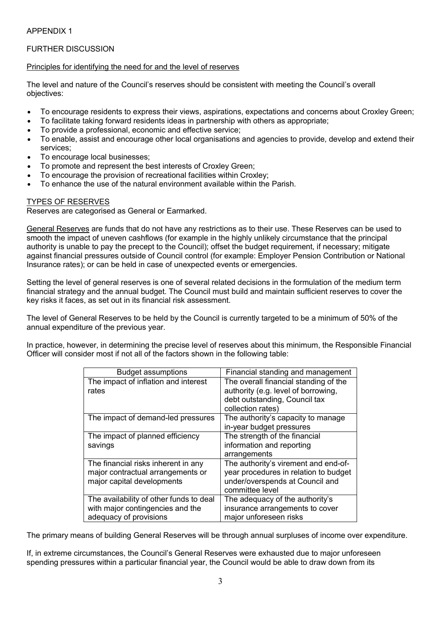## APPENDIX 1

## FURTHER DISCUSSION

### Principles for identifying the need for and the level of reserves

The level and nature of the Council's reserves should be consistent with meeting the Council's overall objectives:

- To encourage residents to express their views, aspirations, expectations and concerns about Croxley Green;
- To facilitate taking forward residents ideas in partnership with others as appropriate;
- To provide a professional, economic and effective service;
- To enable, assist and encourage other local organisations and agencies to provide, develop and extend their services;
- To encourage local businesses;
- To promote and represent the best interests of Croxley Green;
- To encourage the provision of recreational facilities within Croxley;
- To enhance the use of the natural environment available within the Parish.

### TYPES OF RESERVES

Reserves are categorised as General or Earmarked.

General Reserves are funds that do not have any restrictions as to their use. These Reserves can be used to smooth the impact of uneven cashflows (for example in the highly unlikely circumstance that the principal authority is unable to pay the precept to the Council); offset the budget requirement, if necessary; mitigate against financial pressures outside of Council control (for example: Employer Pension Contribution or National Insurance rates); or can be held in case of unexpected events or emergencies.

Setting the level of general reserves is one of several related decisions in the formulation of the medium term financial strategy and the annual budget. The Council must build and maintain sufficient reserves to cover the key risks it faces, as set out in its financial risk assessment.

The level of General Reserves to be held by the Council is currently targeted to be a minimum of 50% of the annual expenditure of the previous year.

In practice, however, in determining the precise level of reserves about this minimum, the Responsible Financial Officer will consider most if not all of the factors shown in the following table:

| <b>Budget assumptions</b>               | Financial standing and management     |
|-----------------------------------------|---------------------------------------|
| The impact of inflation and interest    | The overall financial standing of the |
| rates                                   | authority (e.g. level of borrowing,   |
|                                         | debt outstanding, Council tax         |
|                                         | collection rates)                     |
| The impact of demand-led pressures      | The authority's capacity to manage    |
|                                         | in-year budget pressures              |
| The impact of planned efficiency        | The strength of the financial         |
| savings                                 | information and reporting             |
|                                         | arrangements                          |
| The financial risks inherent in any     | The authority's virement and end-of-  |
| major contractual arrangements or       | year procedures in relation to budget |
| major capital developments              | under/overspends at Council and       |
|                                         | committee level                       |
| The availability of other funds to deal | The adequacy of the authority's       |
| with major contingencies and the        | insurance arrangements to cover       |
| adequacy of provisions                  | major unforeseen risks                |

The primary means of building General Reserves will be through annual surpluses of income over expenditure.

If, in extreme circumstances, the Council's General Reserves were exhausted due to major unforeseen spending pressures within a particular financial year, the Council would be able to draw down from its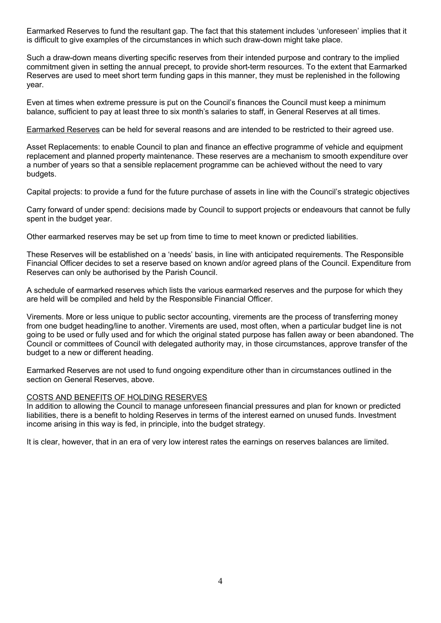Earmarked Reserves to fund the resultant gap. The fact that this statement includes 'unforeseen' implies that it is difficult to give examples of the circumstances in which such draw-down might take place.

Such a draw-down means diverting specific reserves from their intended purpose and contrary to the implied commitment given in setting the annual precept, to provide short-term resources. To the extent that Earmarked Reserves are used to meet short term funding gaps in this manner, they must be replenished in the following year.

Even at times when extreme pressure is put on the Council's finances the Council must keep a minimum balance, sufficient to pay at least three to six month's salaries to staff, in General Reserves at all times.

Earmarked Reserves can be held for several reasons and are intended to be restricted to their agreed use.

Asset Replacements: to enable Council to plan and finance an effective programme of vehicle and equipment replacement and planned property maintenance. These reserves are a mechanism to smooth expenditure over a number of years so that a sensible replacement programme can be achieved without the need to vary budgets.

Capital projects: to provide a fund for the future purchase of assets in line with the Council's strategic objectives

Carry forward of under spend: decisions made by Council to support projects or endeavours that cannot be fully spent in the budget year.

Other earmarked reserves may be set up from time to time to meet known or predicted liabilities.

These Reserves will be established on a 'needs' basis, in line with anticipated requirements. The Responsible Financial Officer decides to set a reserve based on known and/or agreed plans of the Council. Expenditure from Reserves can only be authorised by the Parish Council.

A schedule of earmarked reserves which lists the various earmarked reserves and the purpose for which they are held will be compiled and held by the Responsible Financial Officer.

Virements. More or less unique to public sector accounting, virements are the process of transferring money from one budget heading/line to another. Virements are used, most often, when a particular budget line is not going to be used or fully used and for which the original stated purpose has fallen away or been abandoned. The Council or committees of Council with delegated authority may, in those circumstances, approve transfer of the budget to a new or different heading.

Earmarked Reserves are not used to fund ongoing expenditure other than in circumstances outlined in the section on General Reserves, above.

#### COSTS AND BENEFITS OF HOLDING RESERVES

In addition to allowing the Council to manage unforeseen financial pressures and plan for known or predicted liabilities, there is a benefit to holding Reserves in terms of the interest earned on unused funds. Investment income arising in this way is fed, in principle, into the budget strategy.

It is clear, however, that in an era of very low interest rates the earnings on reserves balances are limited.